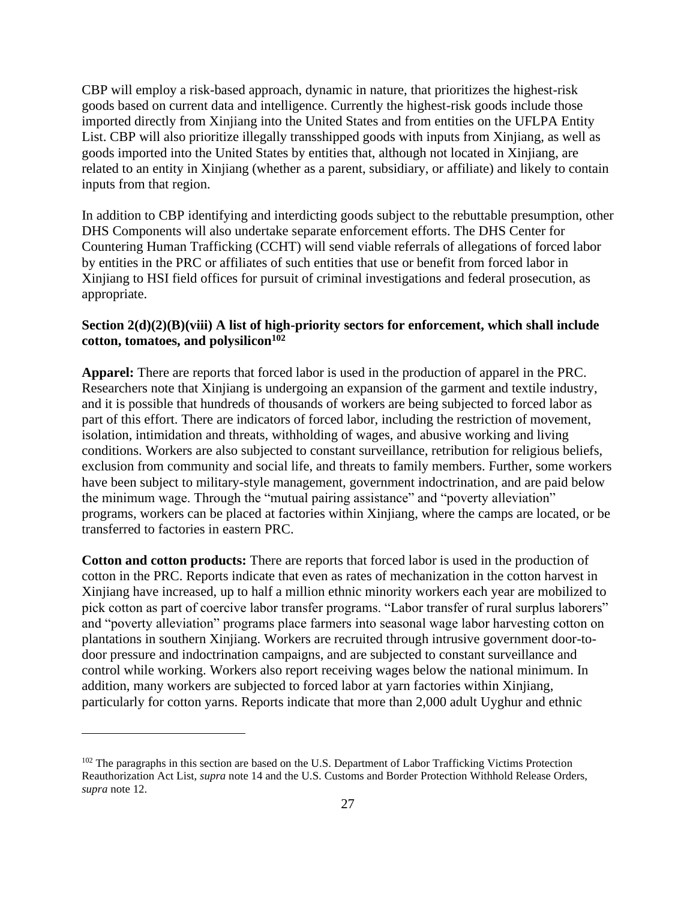CBP will employ a risk-based approach, dynamic in nature, that prioritizes the highest-risk goods based on current data and intelligence. Currently the highest-risk goods include those imported directly from Xinjiang into the United States and from entities on the UFLPA Entity List. CBP will also prioritize illegally transshipped goods with inputs from Xinjiang, as well as goods imported into the United States by entities that, although not located in Xinjiang, are related to an entity in Xinjiang (whether as a parent, subsidiary, or affiliate) and likely to contain inputs from that region.

In addition to CBP identifying and interdicting goods subject to the rebuttable presumption, other DHS Components will also undertake separate enforcement efforts. The DHS Center for Countering Human Trafficking (CCHT) will send viable referrals of allegations of forced labor by entities in the PRC or affiliates of such entities that use or benefit from forced labor in Xinjiang to HSI field offices for pursuit of criminal investigations and federal prosecution, as appropriate.

## **Section 2(d)(2)(B)(viii) A list of high-priority sectors for enforcement, which shall include cotton, tomatoes, and polysilicon<sup>102</sup>**

**Apparel:** There are reports that forced labor is used in the production of apparel in the PRC. Researchers note that Xinjiang is undergoing an expansion of the garment and textile industry, and it is possible that hundreds of thousands of workers are being subjected to forced labor as part of this effort. There are indicators of forced labor, including the restriction of movement, isolation, intimidation and threats, withholding of wages, and abusive working and living conditions. Workers are also subjected to constant surveillance, retribution for religious beliefs, exclusion from community and social life, and threats to family members. Further, some workers have been subject to military-style management, government indoctrination, and are paid below the minimum wage. Through the "mutual pairing assistance" and "poverty alleviation" programs, workers can be placed at factories within Xinjiang, where the camps are located, or be transferred to factories in eastern PRC.

**Cotton and cotton products:** There are reports that forced labor is used in the production of cotton in the PRC. Reports indicate that even as rates of mechanization in the cotton harvest in Xinjiang have increased, up to half a million ethnic minority workers each year are mobilized to pick cotton as part of coercive labor transfer programs. "Labor transfer of rural surplus laborers" and "poverty alleviation" programs place farmers into seasonal wage labor harvesting cotton on plantations in southern Xinjiang. Workers are recruited through intrusive government door-todoor pressure and indoctrination campaigns, and are subjected to constant surveillance and control while working. Workers also report receiving wages below the national minimum. In addition, many workers are subjected to forced labor at yarn factories within Xinjiang, particularly for cotton yarns. Reports indicate that more than 2,000 adult Uyghur and ethnic

<sup>&</sup>lt;sup>102</sup> The paragraphs in this section are based on the U.S. Department of Labor Trafficking Victims Protection Reauthorization Act List, *supra* note 14 and the U.S. Customs and Border Protection Withhold Release Orders, *supra* note 12.